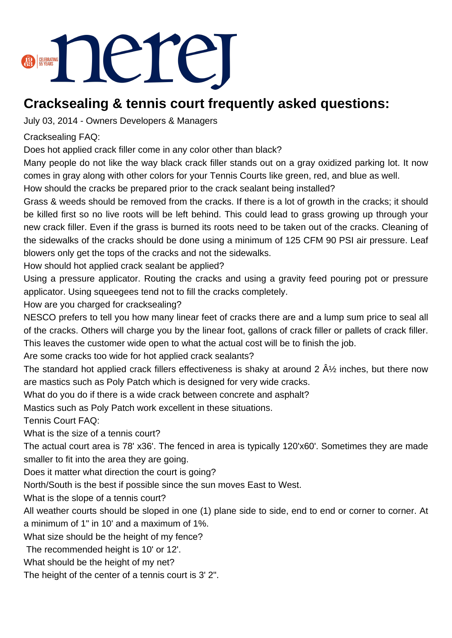

## **Cracksealing & tennis court frequently asked questions:**

July 03, 2014 - Owners Developers & Managers

## Cracksealing FAQ:

Does hot applied crack filler come in any color other than black?

Many people do not like the way black crack filler stands out on a gray oxidized parking lot. It now comes in gray along with other colors for your Tennis Courts like green, red, and blue as well.

How should the cracks be prepared prior to the crack sealant being installed?

Grass & weeds should be removed from the cracks. If there is a lot of growth in the cracks; it should be killed first so no live roots will be left behind. This could lead to grass growing up through your new crack filler. Even if the grass is burned its roots need to be taken out of the cracks. Cleaning of the sidewalks of the cracks should be done using a minimum of 125 CFM 90 PSI air pressure. Leaf blowers only get the tops of the cracks and not the sidewalks.

How should hot applied crack sealant be applied?

Using a pressure applicator. Routing the cracks and using a gravity feed pouring pot or pressure applicator. Using squeegees tend not to fill the cracks completely.

How are you charged for cracksealing?

NESCO prefers to tell you how many linear feet of cracks there are and a lump sum price to seal all of the cracks. Others will charge you by the linear foot, gallons of crack filler or pallets of crack filler. This leaves the customer wide open to what the actual cost will be to finish the job.

Are some cracks too wide for hot applied crack sealants?

The standard hot applied crack fillers effectiveness is shaky at around 2  $\rm \AA\%$  inches, but there now are mastics such as Poly Patch which is designed for very wide cracks.

What do you do if there is a wide crack between concrete and asphalt?

Mastics such as Poly Patch work excellent in these situations.

Tennis Court FAQ:

What is the size of a tennis court?

The actual court area is 78' x36'. The fenced in area is typically 120'x60'. Sometimes they are made smaller to fit into the area they are going.

Does it matter what direction the court is going?

North/South is the best if possible since the sun moves East to West.

What is the slope of a tennis court?

All weather courts should be sloped in one (1) plane side to side, end to end or corner to corner. At a minimum of 1" in 10' and a maximum of 1%.

What size should be the height of my fence?

The recommended height is 10' or 12'.

What should be the height of my net?

The height of the center of a tennis court is 3' 2".